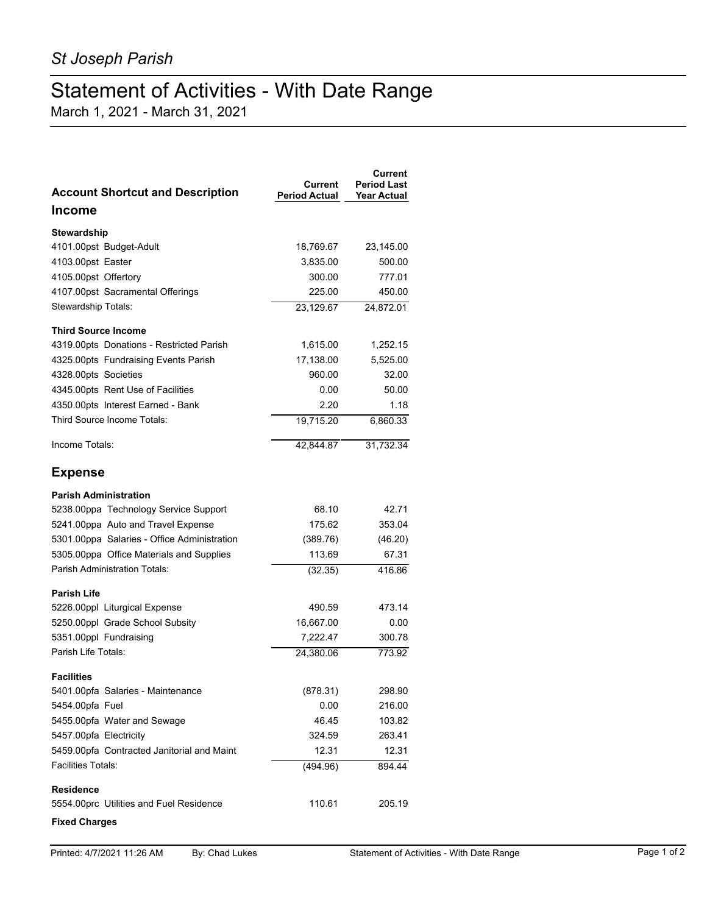## Statement of Activities - With Date Range

March 1, 2021 - March 31, 2021

| <b>Account Shortcut and Description</b>     | Current<br><b>Period Actual</b> | Current<br><b>Period Last</b><br><b>Year Actual</b> |
|---------------------------------------------|---------------------------------|-----------------------------------------------------|
| Income                                      |                                 |                                                     |
| Stewardship                                 |                                 |                                                     |
| 4101.00pst Budget-Adult                     | 18,769.67                       | 23,145.00                                           |
| 4103.00pst Easter                           | 3,835.00                        | 500.00                                              |
| 4105.00pst Offertory                        | 300.00                          | 777.01                                              |
| 4107.00pst Sacramental Offerings            | 225.00                          | 450.00                                              |
| Stewardship Totals:                         | 23,129.67                       | 24,872.01                                           |
| <b>Third Source Income</b>                  |                                 |                                                     |
| 4319.00pts Donations - Restricted Parish    | 1,615.00                        | 1,252.15                                            |
| 4325.00pts Fundraising Events Parish        | 17,138.00                       | 5,525.00                                            |
| 4328.00pts Societies                        | 960.00                          | 32.00                                               |
| 4345.00pts Rent Use of Facilities           | 0.00                            | 50.00                                               |
| 4350.00pts Interest Earned - Bank           | 2.20                            | 1.18                                                |
| Third Source Income Totals:                 | 19,715.20                       | 6,860.33                                            |
| Income Totals:                              | 42,844.87                       | 31,732.34                                           |
| <b>Expense</b>                              |                                 |                                                     |
| <b>Parish Administration</b>                |                                 |                                                     |
| 5238.00ppa Technology Service Support       | 68.10                           | 42.71                                               |
| 5241.00ppa Auto and Travel Expense          | 175.62                          | 353.04                                              |
| 5301.00ppa Salaries - Office Administration | (389.76)                        | (46.20)                                             |
| 5305.00ppa Office Materials and Supplies    | 113.69                          | 67.31                                               |
| <b>Parish Administration Totals:</b>        | (32.35)                         | 416.86                                              |
| Parish Life                                 |                                 |                                                     |
| 5226.00ppl Liturgical Expense               | 490.59                          | 473.14                                              |
| 5250.00ppl Grade School Subsity             | 16,667.00                       | 0.00                                                |
| 5351.00ppl Fundraising                      | 7,222.47                        | 300.78                                              |
| Parish Life Totals:                         | 24,380.06                       | 773.92                                              |
| <b>Facilities</b>                           |                                 |                                                     |
| 5401.00pfa Salaries - Maintenance           | (878.31)                        | 298.90                                              |
| 5454.00pfa Fuel                             | 0.00                            | 216.00                                              |
| 5455.00pfa Water and Sewage                 | 46.45                           | 103.82                                              |
| 5457.00pfa Electricity                      | 324.59                          | 263.41                                              |
| 5459.00pfa Contracted Janitorial and Maint  | 12.31                           | 12.31                                               |
| <b>Facilities Totals:</b>                   | (494.96)                        | 894.44                                              |
| <b>Residence</b>                            |                                 |                                                     |
| 5554.00prc Utilities and Fuel Residence     | 110.61                          | 205.19                                              |
| <b>Fixed Charges</b>                        |                                 |                                                     |